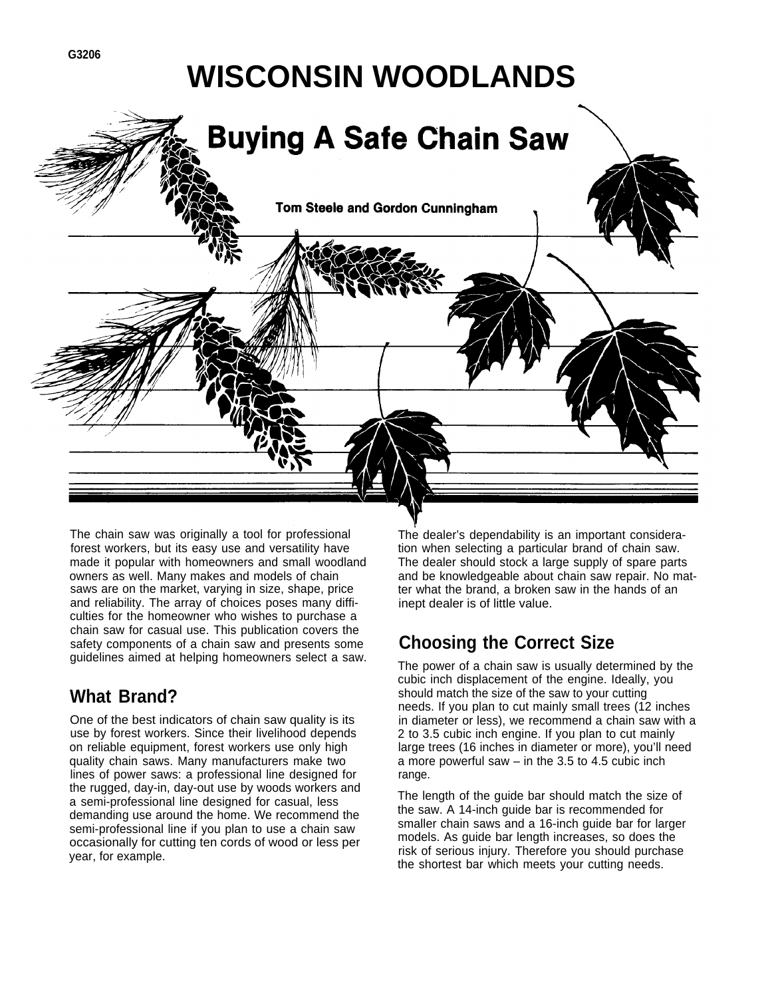# **WISCONSIN WOODLANDS**



The chain saw was originally a tool for professional forest workers, but its easy use and versatility have made it popular with homeowners and small woodland owners as well. Many makes and models of chain saws are on the market, varying in size, shape, price and reliability. The array of choices poses many difficulties for the homeowner who wishes to purchase a chain saw for casual use. This publication covers the safety components of a chain saw and presents some guidelines aimed at helping homeowners select a saw.

## **What Brand?**

One of the best indicators of chain saw quality is its use by forest workers. Since their livelihood depends on reliable equipment, forest workers use only high quality chain saws. Many manufacturers make two lines of power saws: a professional line designed for the rugged, day-in, day-out use by woods workers and a semi-professional line designed for casual, less demanding use around the home. We recommend the semi-professional line if you plan to use a chain saw occasionally for cutting ten cords of wood or less per year, for example.

The dealer's dependability is an important consideration when selecting a particular brand of chain saw. The dealer should stock a large supply of spare parts and be knowledgeable about chain saw repair. No matter what the brand, a broken saw in the hands of an inept dealer is of little value.

## **Choosing the Correct Size**

The power of a chain saw is usually determined by the cubic inch displacement of the engine. Ideally, you should match the size of the saw to your cutting needs. If you plan to cut mainly small trees (12 inches in diameter or less), we recommend a chain saw with a 2 to 3.5 cubic inch engine. If you plan to cut mainly large trees (16 inches in diameter or more), you'll need a more powerful saw – in the 3.5 to 4.5 cubic inch range.

The length of the guide bar should match the size of the saw. A 14-inch guide bar is recommended for smaller chain saws and a 16-inch guide bar for larger models. As guide bar length increases, so does the risk of serious injury. Therefore you should purchase the shortest bar which meets your cutting needs.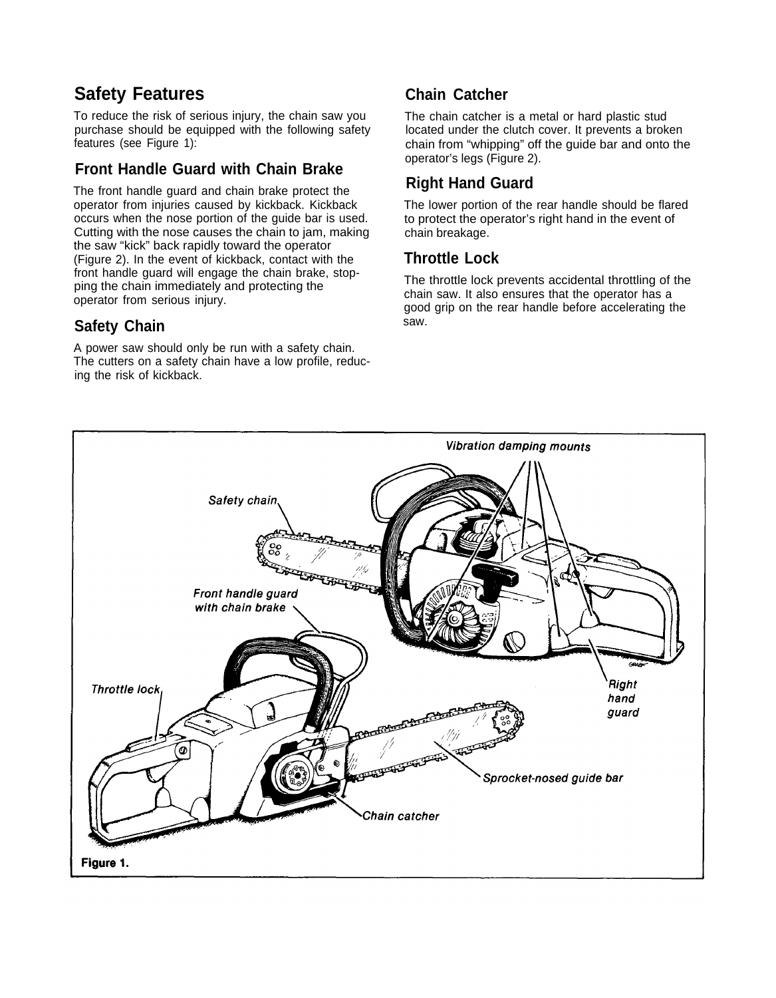## **Safety Features**

To reduce the risk of serious injury, the chain saw you purchase should be equipped with the following safety features (see Figure 1):

#### **Front Handle Guard with Chain Brake**

The front handle guard and chain brake protect the operator from injuries caused by kickback. Kickback occurs when the nose portion of the guide bar is used. Cutting with the nose causes the chain to jam, making the saw "kick" back rapidly toward the operator (Figure 2). In the event of kickback, contact with the front handle guard will engage the chain brake, stopping the chain immediately and protecting the operator from serious injury.

#### **Safety Chain**

A power saw should only be run with a safety chain. The cutters on a safety chain have a low profile, reducing the risk of kickback.

#### **Chain Catcher**

The chain catcher is a metal or hard plastic stud located under the clutch cover. It prevents a broken chain from "whipping" off the guide bar and onto the operator's legs (Figure 2).

#### **Right Hand Guard**

The lower portion of the rear handle should be flared to protect the operator's right hand in the event of chain breakage.

#### **Throttle Lock**

The throttle lock prevents accidental throttling of the chain saw. It also ensures that the operator has a good grip on the rear handle before accelerating the saw.

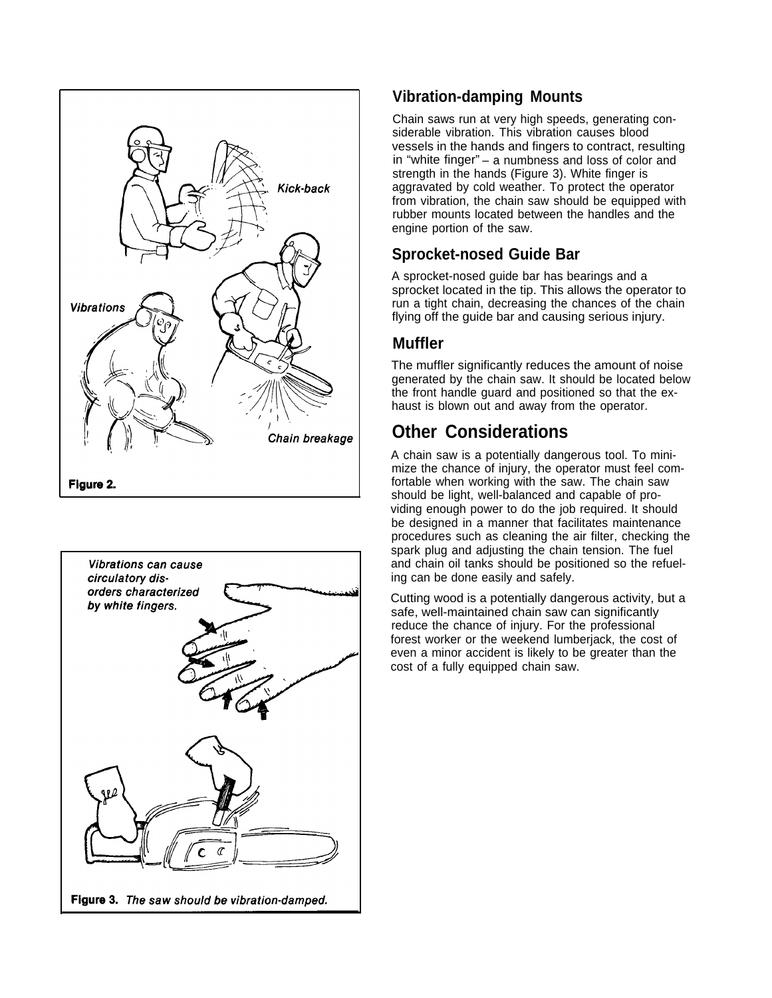



#### **Vibration-damping Mounts**

Chain saws run at very high speeds, generating considerable vibration. This vibration causes blood vessels in the hands and fingers to contract, resulting in "white finger" – a numbness and loss of color and strength in the hands (Figure 3). White finger is aggravated by cold weather. To protect the operator from vibration, the chain saw should be equipped with rubber mounts located between the handles and the engine portion of the saw.

#### **Sprocket-nosed Guide Bar**

A sprocket-nosed guide bar has bearings and a sprocket located in the tip. This allows the operator to run a tight chain, decreasing the chances of the chain flying off the guide bar and causing serious injury.

#### **Muffler**

The muffler significantly reduces the amount of noise generated by the chain saw. It should be located below the front handle guard and positioned so that the exhaust is blown out and away from the operator.

## **Other Considerations**

A chain saw is a potentially dangerous tool. To minimize the chance of injury, the operator must feel comfortable when working with the saw. The chain saw should be light, well-balanced and capable of providing enough power to do the job required. It should be designed in a manner that facilitates maintenance procedures such as cleaning the air filter, checking the spark plug and adjusting the chain tension. The fuel and chain oil tanks should be positioned so the refueling can be done easily and safely.

Cutting wood is a potentially dangerous activity, but a safe, well-maintained chain saw can significantly reduce the chance of injury. For the professional forest worker or the weekend lumberjack, the cost of even a minor accident is likely to be greater than the cost of a fully equipped chain saw.